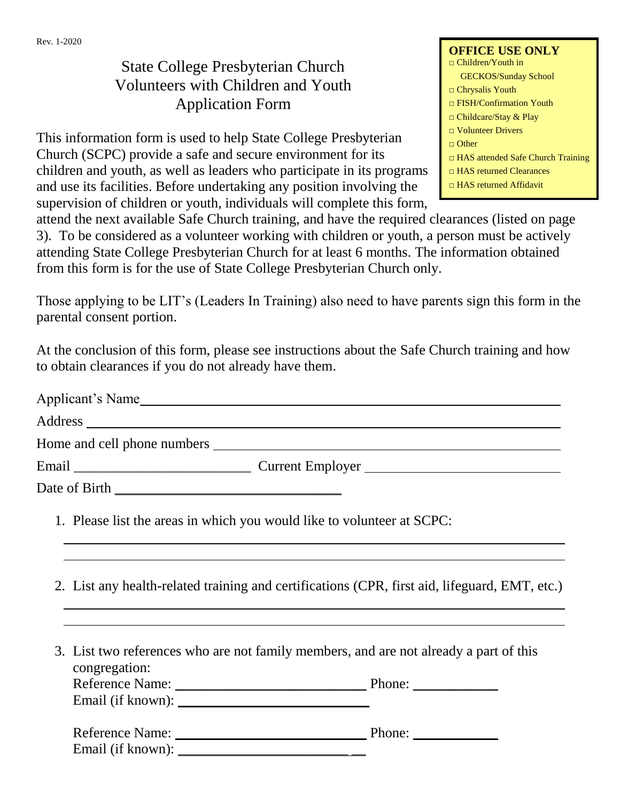## State College Presbyterian Church Volunteers with Children and Youth Application Form

This information form is used to help State College Presbyterian Church (SCPC) provide a safe and secure environment for its children and youth, as well as leaders who participate in its programs and use its facilities. Before undertaking any position involving the supervision of children or youth, individuals will complete this form,

attend the next available Safe Church training, and have the required clearances (listed on page 3). To be considered as a volunteer working with children or youth, a person must be actively attending State College Presbyterian Church for at least 6 months. The information obtained from this form is for the use of State College Presbyterian Church only.

Those applying to be LIT's (Leaders In Training) also need to have parents sign this form in the parental consent portion.

At the conclusion of this form, please see instructions about the Safe Church training and how to obtain clearances if you do not already have them.

| Applicant's Name |                  |
|------------------|------------------|
|                  |                  |
|                  |                  |
|                  | Current Employer |
|                  |                  |
|                  |                  |

- 1. Please list the areas in which you would like to volunteer at SCPC:
- 2. List any health-related training and certifications (CPR, first aid, lifeguard, EMT, etc.)
- 3. List two references who are not family members, and are not already a part of this congregation: Reference Name: \_\_\_\_\_\_\_\_\_\_\_\_\_\_\_\_\_\_\_\_\_\_\_\_\_\_\_ Phone: \_\_\_\_\_\_\_\_\_\_\_\_ Email (if known): \_\_\_\_\_\_\_\_\_\_\_\_\_\_\_\_\_\_\_\_\_\_\_\_\_\_\_

| <b>Reference Name:</b> | Phone: |  |
|------------------------|--------|--|
| Email (if known):      |        |  |

| <b>OFFICE USE ONLY</b><br>$\Box$ Children/Youth in |
|----------------------------------------------------|
| <b>GECKOS/Sunday School</b>                        |
| $\Box$ Chrysalis Youth                             |
| $\Box$ FISH/Confirmation Youth                     |
| $\Box$ Childcare/Stay & Play                       |
| $\Box$ Volunteer Drivers                           |
| $\Box$ Other                                       |
| $\Box$ HAS attended Safe Church Training           |
| $\Box$ HAS returned Clearances                     |
| $\Box$ HAS returned Affidavit                      |
|                                                    |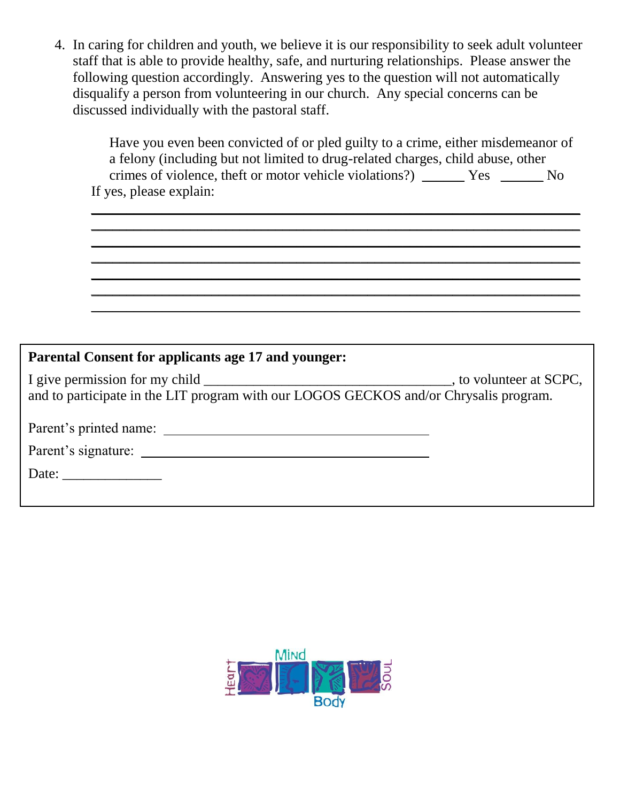4. In caring for children and youth, we believe it is our responsibility to seek adult volunteer staff that is able to provide healthy, safe, and nurturing relationships. Please answer the following question accordingly. Answering yes to the question will not automatically disqualify a person from volunteering in our church. Any special concerns can be discussed individually with the pastoral staff.

Have you even been convicted of or pled guilty to a crime, either misdemeanor of a felony (including but not limited to drug-related charges, child abuse, other crimes of violence, theft or motor vehicle violations?) \_\_\_\_\_\_ Yes \_\_\_\_\_\_ No If yes, please explain:

\_\_\_\_\_\_\_\_\_\_\_\_\_\_\_\_\_\_\_\_\_\_\_\_\_\_\_\_\_\_\_\_\_\_\_\_\_\_\_\_\_\_\_\_\_\_\_\_\_\_\_\_\_\_\_\_\_\_\_\_\_\_\_\_\_\_\_\_\_ \_\_\_\_\_\_\_\_\_\_\_\_\_\_\_\_\_\_\_\_\_\_\_\_\_\_\_\_\_\_\_\_\_\_\_\_\_\_\_\_\_\_\_\_\_\_\_\_\_\_\_\_\_\_\_\_\_\_\_\_\_\_\_\_\_\_\_\_\_ \_\_\_\_\_\_\_\_\_\_\_\_\_\_\_\_\_\_\_\_\_\_\_\_\_\_\_\_\_\_\_\_\_\_\_\_\_\_\_\_\_\_\_\_\_\_\_\_\_\_\_\_\_\_\_\_\_\_\_\_\_\_\_\_\_\_\_\_\_ \_\_\_\_\_\_\_\_\_\_\_\_\_\_\_\_\_\_\_\_\_\_\_\_\_\_\_\_\_\_\_\_\_\_\_\_\_\_\_\_\_\_\_\_\_\_\_\_\_\_\_\_\_\_\_\_\_\_\_\_\_\_\_\_\_\_\_\_\_ \_\_\_\_\_\_\_\_\_\_\_\_\_\_\_\_\_\_\_\_\_\_\_\_\_\_\_\_\_\_\_\_\_\_\_\_\_\_\_\_\_\_\_\_\_\_\_\_\_\_\_\_\_\_\_\_\_\_\_\_\_\_\_\_\_\_\_\_\_ \_\_\_\_\_\_\_\_\_\_\_\_\_\_\_\_\_\_\_\_\_\_\_\_\_\_\_\_\_\_\_\_\_\_\_\_\_\_\_\_\_\_\_\_\_\_\_\_\_\_\_\_\_\_\_\_\_\_\_\_\_\_\_\_\_\_\_\_\_ \_\_\_\_\_\_\_\_\_\_\_\_\_\_\_\_\_\_\_\_\_\_\_\_\_\_\_\_\_\_\_\_\_\_\_\_\_\_\_\_\_\_\_\_\_\_\_\_\_\_\_\_\_\_\_\_\_\_\_\_\_\_\_\_\_\_\_\_\_

| <b>Parental Consent for applicants age 17 and younger:</b>                            |  |
|---------------------------------------------------------------------------------------|--|
| and to participate in the LIT program with our LOGOS GECKOS and/or Chrysalis program. |  |
|                                                                                       |  |
| Parent's signature:                                                                   |  |
| Date: $\frac{1}{\sqrt{1-\frac{1}{2}} \cdot \frac{1}{2}}$                              |  |

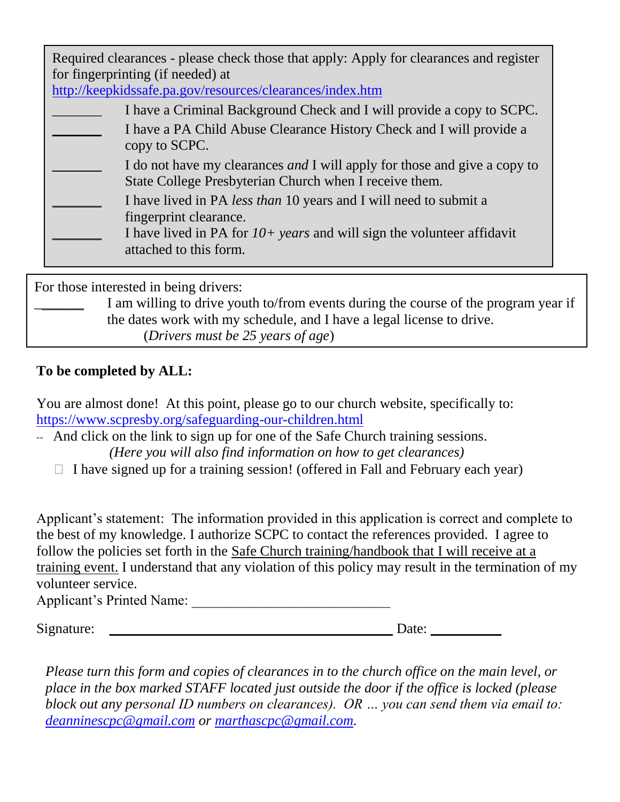Required clearances - please check those that apply: Apply for clearances and register for fingerprinting (if needed) at

<http://keepkidssafe.pa.gov/resources/clearances/index.htm>

- I have a Criminal Background Check and I will provide a copy to SCPC. I have a PA Child Abuse Clearance History Check and I will provide a copy to SCPC. I do not have my clearances *and* I will apply for those and give a copy to State College Presbyterian Church when I receive them. \_\_\_\_\_\_\_ I have lived in PA *less than* 10 years and I will need to submit a
	- fingerprint clearance.
	- \_\_\_\_\_\_\_ I have lived in PA for *10+ years* and will sign the volunteer affidavit attached to this form.

For those interested in being drivers:

I am willing to drive youth to/from events during the course of the program year if the dates work with my schedule, and I have a legal license to drive. (*Drivers must be 25 years of age*)

## **To be completed by ALL:**

You are almost done! At this point, please go to our church website, specifically to: <https://www.scpresby.org/safeguarding-our-children.html>

-- And click on the link to sign up for one of the Safe Church training sessions.

*(Here you will also find information on how to get clearances)*

 $\Box$  I have signed up for a training session! (offered in Fall and February each year)

Applicant's statement: The information provided in this application is correct and complete to the best of my knowledge. I authorize SCPC to contact the references provided. I agree to follow the policies set forth in the Safe Church training/handbook that I will receive at a training event. I understand that any violation of this policy may result in the termination of my volunteer service.

Applicant's Printed Name:

 $Signature: \_\_$ 

*Please turn this form and copies of clearances in to the church office on the main level, or place in the box marked STAFF located just outside the door if the office is locked (please block out any personal ID numbers on clearances). OR … you can send them via email to: [deanninescpc@gmail.com](mailto:deanninescpc@gmail.com) or [marthascpc@gmail.com.](mailto:marthascpc@gmail.com)*